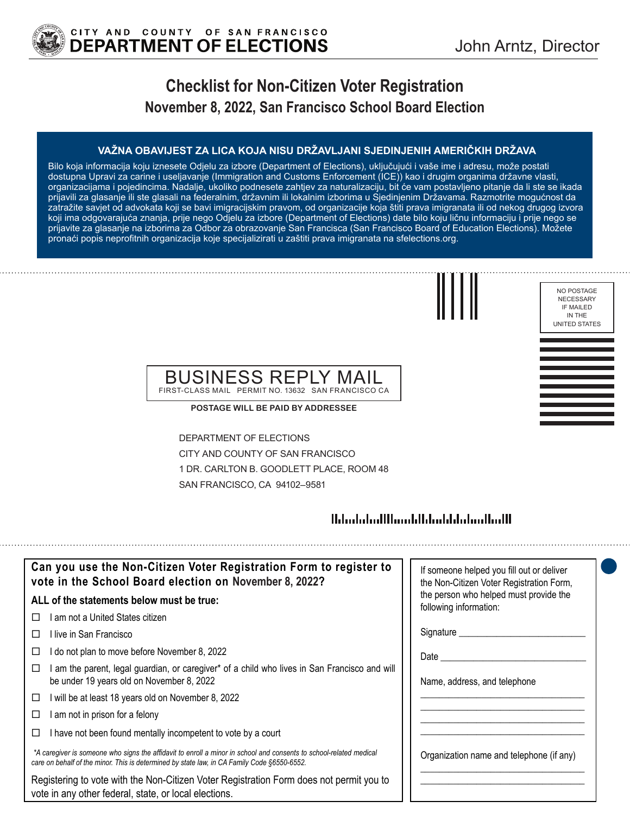

# **Checklist for Non-Citizen Voter Registration November 8, 2022, San Francisco School Board Election**

### **VAŽNA OBAVIJEST ZA LICA KOJA NISU DRŽAVLJANI SJEDINJENIH AMERIČKIH DRŽAVA**

Bilo koja informacija koju iznesete Odjelu za izbore (Department of Elections), uključujući i vaše ime i adresu, može postati dostupna Upravi za carine i useljavanje (Immigration and Customs Enforcement (ICE)) kao i drugim organima državne vlasti, organizacijama i pojedincima. Nadalje, ukoliko podnesete zahtjev za naturalizaciju, bit će vam postavljeno pitanje da li ste se ikada prijavili za glasanje ili ste glasali na federalnim, državnim ili lokalnim izborima u Sjedinjenim Državama. Razmotrite mogućnost da zatražite savjet od advokata koji se bavi imigracijskim pravom, od organizacije koja štiti prava imigranata ili od nekog drugog izvora koji ima odgovarajuća znanja, prije nego Odjelu za izbore (Department of Elections) date bilo koju ličnu informaciju i prije nego se prijavite za glasanje na izborima za Odbor za obrazovanje San Francisca (San Francisco Board of Education Elections). Možete pronaći popis neprofitnih organizacija koje specijalizirati u zaštiti prava imigranata na sfelections.org.



NO POSTAGE NECESSARY IF MAILED

### BUSINESS REPLY MAIL FIRST-CLASS MAIL PERMIT NO. 13632 SAN FRANCISCO CA

**POSTAGE WILL BE PAID BY ADDRESSEE**

DEPARTMENT OF ELECTIONS CITY AND COUNTY OF SAN FRANCISCO 1 DR. CARLTON B. GOODLETT PLACE, ROOM 48 SAN FRANCISCO, CA 94102–9581

# 

| Can you use the Non-Citizen Voter Registration Form to register to<br>vote in the School Board election on November 8, 2022?                                                                                      | If someone helped you fill out or deliver<br>the Non-Citizen Voter Registration Form, |
|-------------------------------------------------------------------------------------------------------------------------------------------------------------------------------------------------------------------|---------------------------------------------------------------------------------------|
| ALL of the statements below must be true:                                                                                                                                                                         | the person who helped must provide the<br>following information:                      |
| ∣ am not a United States citizen.<br>П                                                                                                                                                                            |                                                                                       |
| ⊟live in San Francisco                                                                                                                                                                                            | Signature __________                                                                  |
| I do not plan to move before November 8, 2022                                                                                                                                                                     | Date                                                                                  |
| am the parent, legal guardian, or caregiver* of a child who lives in San Francisco and will<br>be under 19 years old on November 8, 2022                                                                          | Name, address, and telephone                                                          |
| will be at least 18 years old on November 8, 2022<br>□                                                                                                                                                            |                                                                                       |
| am not in prison for a felony                                                                                                                                                                                     |                                                                                       |
| I have not been found mentally incompetent to vote by a court                                                                                                                                                     |                                                                                       |
| *A caregiver is someone who signs the affidavit to enroll a minor in school and consents to school-related medical<br>care on behalf of the minor. This is determined by state law, in CA Family Code §6550-6552. | Organization name and telephone (if any)                                              |
| Registering to vote with the Non-Citizen Voter Registration Form does not permit you to<br>vote in any other federal, state, or local elections.                                                                  |                                                                                       |